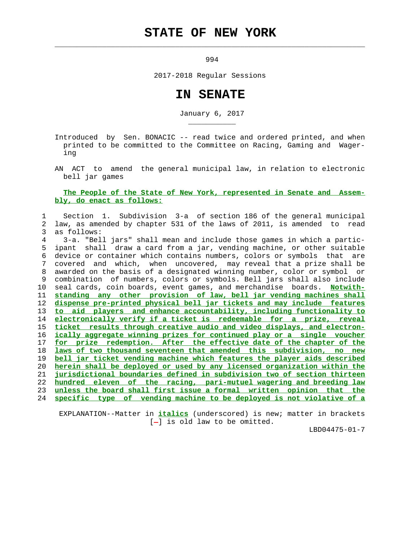## **STATE OF NEW YORK**

 $\mathcal{L}_\text{max} = \frac{1}{2} \sum_{i=1}^{n} \frac{1}{2} \sum_{i=1}^{n} \frac{1}{2} \sum_{i=1}^{n} \frac{1}{2} \sum_{i=1}^{n} \frac{1}{2} \sum_{i=1}^{n} \frac{1}{2} \sum_{i=1}^{n} \frac{1}{2} \sum_{i=1}^{n} \frac{1}{2} \sum_{i=1}^{n} \frac{1}{2} \sum_{i=1}^{n} \frac{1}{2} \sum_{i=1}^{n} \frac{1}{2} \sum_{i=1}^{n} \frac{1}{2} \sum_{i=1}^{n} \frac{1$ 

\_\_\_\_\_\_\_\_\_\_\_

994

2017-2018 Regular Sessions

## **IN SENATE**

January 6, 2017

 Introduced by Sen. BONACIC -- read twice and ordered printed, and when printed to be committed to the Committee on Racing, Gaming and Wager ing

 AN ACT to amend the general municipal law, in relation to electronic bell jar games

## **The People of the State of New York, represented in Senate and Assem bly, do enact as follows:**

## 1 Section 1. Subdivision 3-a of section 186 of the general municipal 2 law, as amended by chapter 531 of the laws of 2011, is amended to read 3 as follows:

 4 3-a. "Bell jars" shall mean and include those games in which a partic- 5 ipant shall draw a card from a jar, vending machine, or other suitable 6 device or container which contains numbers, colors or symbols that are 7 covered and which, when uncovered, may reveal that a prize shall be 8 awarded on the basis of a designated winning number, color or symbol or 9 combination of numbers, colors or symbols. Bell jars shall also include 10 seal cards, coin boards, event games, and merchandise boards. **Notwith- standing any other provision of law, bell jar vending machines shall dispense pre-printed physical bell jar tickets and may include features to aid players and enhance accountability, including functionality to electronically verify if a ticket is redeemable for a prize, reveal ticket results through creative audio and video displays, and electron- ically aggregate winning prizes for continued play or a single voucher for prize redemption. After the effective date of the chapter of the laws of two thousand seventeen that amended this subdivision, no new bell jar ticket vending machine which features the player aids described herein shall be deployed or used by any licensed organization within the jurisdictional boundaries defined in subdivision two of section thirteen hundred eleven of the racing, pari-mutuel wagering and breeding law unless the board shall first issue a formal written opinion that the specific type of vending machine to be deployed is not violative of a**

 EXPLANATION--Matter in **italics** (underscored) is new; matter in brackets  $[-]$  is old law to be omitted.

LBD04475-01-7